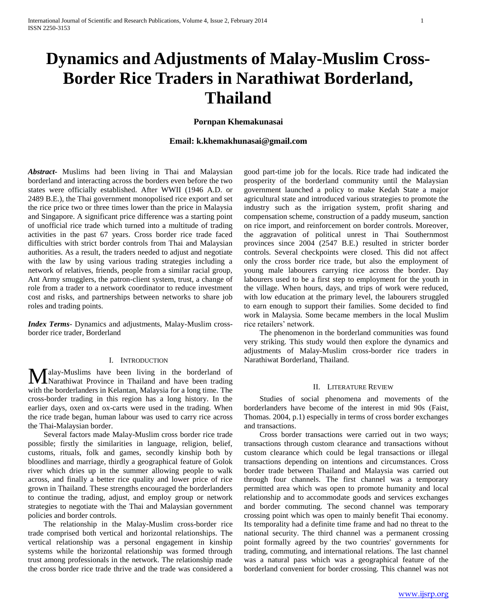# **Dynamics and Adjustments of Malay-Muslim Cross-Border Rice Traders in Narathiwat Borderland, Thailand**

#### **Pornpan Khemakunasai**

# **Email: k.khemakhunasai@gmail.com**

*Abstract***-** Muslims had been living in Thai and Malaysian borderland and interacting across the borders even before the two states were officially established. After WWII (1946 A.D. or 2489 B.E.), the Thai government monopolised rice export and set the rice price two or three times lower than the price in Malaysia and Singapore. A significant price difference was a starting point of unofficial rice trade which turned into a multitude of trading activities in the past 67 years. Cross border rice trade faced difficulties with strict border controls from Thai and Malaysian authorities. As a result, the traders needed to adjust and negotiate with the law by using various trading strategies including a network of relatives, friends, people from a similar racial group, Ant Army smugglers, the patron-client system, trust, a change of role from a trader to a network coordinator to reduce investment cost and risks, and partnerships between networks to share job roles and trading points.

*Index Terms*- Dynamics and adjustments, Malay-Muslim crossborder rice trader, Borderland

#### I. INTRODUCTION

alay-Muslims have been living in the borderland of Malay-Muslims have been living in the borderland of Narathiwat Province in Thailand and have been trading with the borderlanders in Kelantan, Malaysia for a long time. The cross-border trading in this region has a long history. In the earlier days, oxen and ox-carts were used in the trading. When the rice trade began, human labour was used to carry rice across the Thai-Malaysian border.

 Several factors made Malay-Muslim cross border rice trade possible; firstly the similarities in language, religion, belief, customs, rituals, folk and games, secondly kinship both by bloodlines and marriage, thirdly a geographical feature of Golok river which dries up in the summer allowing people to walk across, and finally a better rice quality and lower price of rice grown in Thailand. These strengths encouraged the borderlanders to continue the trading, adjust, and employ group or network strategies to negotiate with the Thai and Malaysian government policies and border controls.

 The relationship in the Malay-Muslim cross-border rice trade comprised both vertical and horizontal relationships. The vertical relationship was a personal engagement in kinship systems while the horizontal relationship was formed through trust among professionals in the network. The relationship made the cross border rice trade thrive and the trade was considered a

good part-time job for the locals. Rice trade had indicated the prosperity of the borderland community until the Malaysian government launched a policy to make Kedah State a major agricultural state and introduced various strategies to promote the industry such as the irrigation system, profit sharing and compensation scheme, construction of a paddy museum, sanction on rice import, and reinforcement on border controls. Moreover, the aggravation of political unrest in Thai Southernmost provinces since 2004 (2547 B.E.) resulted in stricter border controls. Several checkpoints were closed. This did not affect only the cross border rice trade, but also the employment of young male labourers carrying rice across the border. Day labourers used to be a first step to employment for the youth in the village. When hours, days, and trips of work were reduced, with low education at the primary level, the labourers struggled to earn enough to support their families. Some decided to find work in Malaysia. Some became members in the local Muslim rice retailers' network.

 The phenomenon in the borderland communities was found very striking. This study would then explore the dynamics and adjustments of Malay-Muslim cross-border rice traders in Narathiwat Borderland, Thailand.

#### II. LITERATURE REVIEW

 Studies of social phenomena and movements of the borderlanders have become of the interest in mid 90s (Faist, Thomas. 2004, p.1) especially in terms of cross border exchanges and transactions.

 Cross border transactions were carried out in two ways; transactions through custom clearance and transactions without custom clearance which could be legal transactions or illegal transactions depending on intentions and circumstances. Cross border trade between Thailand and Malaysia was carried out through four channels. The first channel was a temporary permitted area which was open to promote humanity and local relationship and to accommodate goods and services exchanges and border commuting. The second channel was temporary crossing point which was open to mainly benefit Thai economy. Its temporality had a definite time frame and had no threat to the national security. The third channel was a permanent crossing point formally agreed by the two countries' governments for trading, commuting, and international relations. The last channel was a natural pass which was a geographical feature of the borderland convenient for border crossing. This channel was not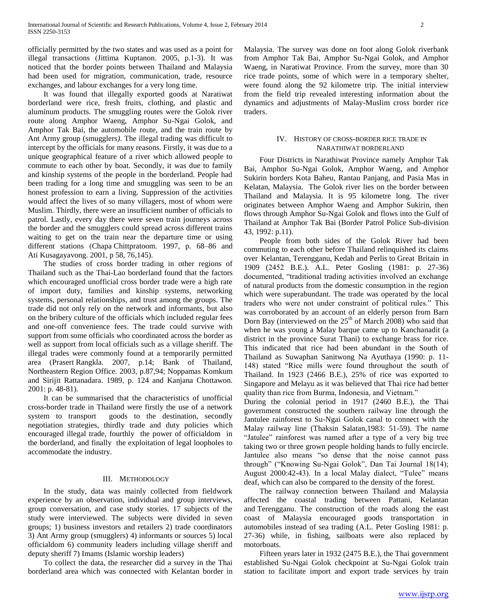officially permitted by the two states and was used as a point for illegal transactions (Jittima Kuptanon. 2005, p.1-3). It was noticed that the border points between Thailand and Malaysia had been used for migration, communication, trade, resource exchanges, and labour exchanges for a very long time.

 It was found that illegally exported goods at Naratiwat borderland were rice, fresh fruits, clothing, and plastic and aluminum products. The smuggling routes were the Golok river route along Amphor Waeng, Amphor Su-Ngai Golok, and Amphor Tak Bai, the automobile route, and the train route by Ant Army group (smugglers*)*. The illegal trading was difficult to intercept by the officials for many reasons. Firstly, it was due to a unique geographical feature of a river which allowed people to commute to each other by boat. Secondly, it was due to family and kinship systems of the people in the borderland. People had been trading for a long time and smuggling was seen to be an honest profession to earn a living. Suppression of the activities would affect the lives of so many villagers, most of whom were Muslim. Thirdly, there were an insufficient number of officials to patrol. Lastly, every day there were seven train journeys across the border and the smugglers could spread across different trains waiting to get on the train near the departure time or using different stations (Chapa Chittpratoom. 1997, p. 68–86 and Ati Kusagayavong. 2001, p 58, 76,145).

 The studies of cross border trading in other regions of Thailand such as the Thai-Lao borderland found that the factors which encouraged unofficial cross border trade were a high rate of import duty, families and kinship systems, networking systems, personal relationships, and trust among the groups. The trade did not only rely on the network and informants, but also on the bribery culture of the officials which included regular fees and one-off convenience fees. The trade could survive with support from some officials who coordinated across the border as well as support from local officials such as a village sheriff. The illegal trades were commonly found at a temporarily permitted area (Prasert Rangkla. 2007, p.14; Bank of Thailand, Northeastern Region Office. 2003, p.87,94; Noppamas Komkum and Sirijit Rattanadara. 1989, p. 124 and Kanjana Chottawon. 2001: p. 48-81).

 It can be summarised that the characteristics of unofficial cross-border trade in Thailand were firstly the use of a network system to transport goods to the destination, secondly negotiation strategies, thirdly trade and duty policies which encouraged illegal trade, fourthly the power of officialdom in the borderland, and finally the exploitation of legal loopholes to accommodate the industry.

#### III. METHODOLOGY

 In the study, data was mainly collected from fieldwork experience by an observation, individual and group interviews, group conversation, and case study stories. 17 subjects of the study were interviewed. The subjects were divided in seven groups; 1) business investors and retailers 2) trade coordinators 3) Ant Army group (smugglers) 4) informants or sources 5) local officialdom 6) community leaders including village sheriff and deputy sheriff 7) Imams (Islamic worship leaders)

 To collect the data, the researcher did a survey in the Thai borderland area which was connected with Kelantan border in Malaysia. The survey was done on foot along Golok riverbank from Amphor Tak Bai, Amphor Su-Ngai Golok, and Amphor Waeng, in Naratiwat Province. From the survey, more than 30 rice trade points, some of which were in a temporary shelter, were found along the 92 kilometre trip. The initial interview from the field trip revealed interesting information about the dynamics and adjustments of Malay-Muslim cross border rice traders.

#### IV. HISTORY OF CROSS-BORDER RICE TRADE IN NARATHIWAT BORDERLAND

 Four Districts in Narathiwat Province namely Amphor Tak Bai, Amphor Su-Ngai Golok, Amphor Waeng, and Amphor Sukirin borders Kota Baheu, Rantau Panjang, and Pasia Mas in Kelatan, Malaysia. The Golok river lies on the border between Thailand and Malaysia. It is 95 kilometre long. The river originates between Amphor Waeng and Amphor Sukirin, then flows through Amphor Su-Ngai Golok and flows into the Gulf of Thailand at Amphor Tak Bai (Border Patrol Police Sub-division 43, 1992: p.11).

 People from both sides of the Golok River had been commuting to each other before Thailand relinquished its claims over Kelantan, Terengganu, Kedah and Perlis to Great Britain in 1909 (2452 B.E.). A.L. Peter Gosling (1981: p. 27-36) documented, "traditional trading activities involved an exchange of natural products from the domestic consumption in the region which were superabundant. The trade was operated by the local traders who were not under constraint of political rules." This was corroborated by an account of an elderly person from Barn Dorn Bay (interviewed on the  $25<sup>th</sup>$  of March 2008) who said that when he was young a Malay barque came up to Kanchanadit (a district in the province Surat Thani) to exchange brass for rice. This indicated that rice had been abundant in the South of Thailand as Suwaphan Sanitwong Na Ayuthaya (1990: p. 11- 148) stated "Rice mills were found throughout the south of Thailand. In 1923 (2466 B.E.), 25% of rice was exported to Singapore and Melayu as it was believed that Thai rice had better quality than rice from Burma, Indonesia, and Vietnam."

During the colonial period in 1917 (2460 B.E.), the Thai government constructed the southern railway line through the Jantulee rainforest to Su-Ngai Golok canal to connect with the Malay railway line (Thaksin Salatan,1983: 51-59). The name "Jatulee" rainforest was named after a type of a very big tree taking two or three grown people holding hands to fully encircle. Jantulee also means "so dense that the noise cannot pass through" ("Knowing Su-Ngai Golok", Dan Tai Journal 18(14); August 2000:42-43). In a local Malay dialect, "Tulee" means deaf, which can also be compared to the density of the forest.

 The railway connection between Thailand and Malaysia affected the coastal trading between Pattani, Kelantan and Terengganu. The construction of the roads along the east coast of Malaysia encouraged goods transportation in automobiles instead of sea trading (A.L. Peter Gosling 1981: p. 27-36) while, in fishing, sailboats were also replaced by motorboats.

 Fifteen years later in 1932 (2475 B.E.), the Thai government established Su-Ngai Golok checkpoint at Su-Ngai Golok train station to facilitate import and export trade services by train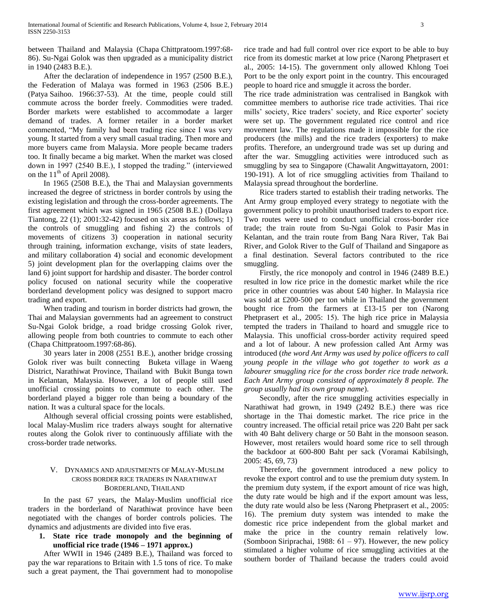between Thailand and Malaysia (Chapa Chittpratoom.1997:68- 86). Su-Ngai Golok was then upgraded as a municipality district in 1940 (2483 B.E.).

 After the declaration of independence in 1957 (2500 B.E.), the Federation of Malaya was formed in 1963 (2506 B.E.) (Patya Saihoo. 1966:37-53). At the time, people could still commute across the border freely. Commodities were traded. Border markets were established to accommodate a larger demand of trades. A former retailer in a border market commented, "My family had been trading rice since I was very young. It started from a very small casual trading. Then more and more buyers came from Malaysia. More people became traders too. It finally became a big market. When the market was closed down in 1997 (2540 B.E.), I stopped the trading." (interviewed on the  $11<sup>th</sup>$  of April 2008).

 In 1965 (2508 B.E.), the Thai and Malaysian governments increased the degree of strictness in border controls by using the existing legislation and through the cross-border agreements. The first agreement which was signed in 1965 (2508 B.E.) (Dollaya Tiantong, 22 (1); 2001:32-42) focused on six areas as follows; 1) the controls of smuggling and fishing 2) the controls of movements of citizens 3) cooperation in national security through training, information exchange, visits of state leaders, and military collaboration 4) social and economic development 5) joint development plan for the overlapping claims over the land 6) joint support for hardship and disaster. The border control policy focused on national security while the cooperative borderland development policy was designed to support macro trading and export.

 When trading and tourism in border districts had grown, the Thai and Malaysian governments had an agreement to construct Su-Ngai Golok bridge, a road bridge crossing Golok river, allowing people from both countries to commute to each other (Chapa Chittpratoom.1997:68-86).

 30 years later in 2008 (2551 B.E.), another bridge crossing Golok river was built connecting Buketa village in Waeng District, Narathiwat Province, Thailand with Bukit Bunga town in Kelantan, Malaysia. However, a lot of people still used unofficial crossing points to commute to each other. The borderland played a bigger role than being a boundary of the nation. It was a cultural space for the locals.

 Although several official crossing points were established, local Malay-Muslim rice traders always sought for alternative routes along the Golok river to continuously affiliate with the cross-border trade networks.

# V. DYNAMICS AND ADJUSTMENTS OF MALAY-MUSLIM CROSS BORDER RICE TRADERS IN NARATHIWAT BORDERLAND, THAILAND

 In the past 67 years, the Malay-Muslim unofficial rice traders in the borderland of Narathiwat province have been negotiated with the changes of border controls policies. The dynamics and adjustments are divided into five eras.

# **1. State rice trade monopoly and the beginning of unofficial rice trade (1946 – 1971 approx.)**

 After WWII in 1946 (2489 B.E.), Thailand was forced to pay the war reparations to Britain with 1.5 tons of rice. To make such a great payment, the Thai government had to monopolise rice trade and had full control over rice export to be able to buy rice from its domestic market at low price (Narong Phetprasert et al., 2005: 14-15). The government only allowed Khlong Toei Port to be the only export point in the country. This encouraged people to hoard rice and smuggle it across the border.

The rice trade administration was centralised in Bangkok with committee members to authorise rice trade activities. Thai rice mills' society, Rice traders' society, and Rice exporter' society were set up. The government regulated rice control and rice movement law. The regulations made it impossible for the rice producers (the mills) and the rice traders (exporters) to make profits. Therefore, an underground trade was set up during and after the war. Smuggling activities were introduced such as smuggling by sea to Singapore (Chawalit Angwittayatorn, 2001: 190-191). A lot of rice smuggling activities from Thailand to Malaysia spread throughout the borderline.

 Rice traders started to establish their trading networks. The Ant Army group employed every strategy to negotiate with the government policy to prohibit unauthorised traders to export rice. Two routes were used to conduct unofficial cross-border rice trade; the train route from Su-Ngai Golok to Pasir Mas in Kelantan, and the train route from Bang Nara River, Tak Bai River, and Golok River to the Gulf of Thailand and Singapore as a final destination. Several factors contributed to the rice smuggling.

 Firstly, the rice monopoly and control in 1946 (2489 B.E.) resulted in low rice price in the domestic market while the rice price in other countries was about £40 higher. In Malaysia rice was sold at £200-500 per ton while in Thailand the government bought rice from the farmers at £13-15 per ton (Narong Phetprasert et al., 2005: 15). The high rice price in Malaysia tempted the traders in Thailand to hoard and smuggle rice to Malaysia. This unofficial cross-border activity required speed and a lot of labour. A new profession called Ant Army was introduced (*the word Ant Army was used by police officers to call young people in the village who got together to work as a labourer smuggling rice for the cross border rice trade network. Each Ant Army group consisted of approximately 8 people. The group usually had its own group name*).

 Secondly, after the rice smuggling activities especially in Narathiwat had grown, in 1949 (2492 B.E.) there was rice shortage in the Thai domestic market. The rice price in the country increased. The official retail price was 220 Baht per sack with 40 Baht delivery charge or 50 Baht in the monsoon season. However, most retailers would hoard some rice to sell through the backdoor at 600-800 Baht per sack (Voramai Kabilsingh, 2005: 45, 69, 73)

 Therefore, the government introduced a new policy to revoke the export control and to use the premium duty system. In the premium duty system, if the export amount of rice was high, the duty rate would be high and if the export amount was less, the duty rate would also be less (Narong Phetprasert et al., 2005: 16). The premium duty system was intended to make the domestic rice price independent from the global market and make the price in the country remain relatively low. (Somboon Siriprachai, 1988: 61 – 97). However, the new policy stimulated a higher volume of rice smuggling activities at the southern border of Thailand because the traders could avoid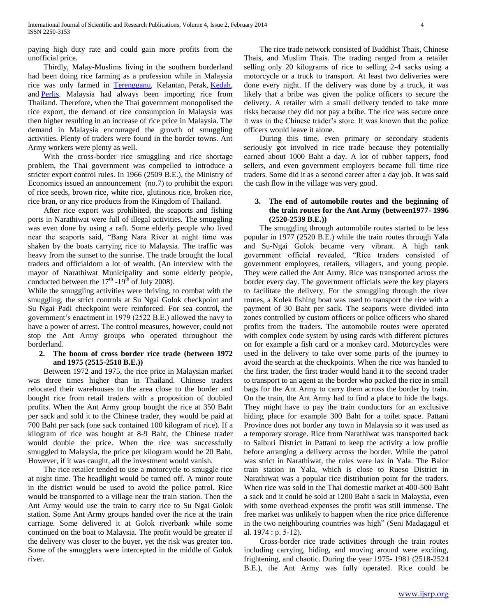paying high duty rate and could gain more profits from the unofficial price.

 Thirdly, Malay-Muslims living in the southern borderland had been doing rice farming as a profession while in Malaysia rice was only farmed in [Terengganu,](http://en.wikipedia.org/wiki/Terengganu) Kelantan, Perak, [Kedah,](http://en.wikipedia.org/wiki/Kedah)  and [Perlis.](http://en.wikipedia.org/wiki/Perlis) Malaysia had always been importing rice from Thailand. Therefore, when the Thai government monopolised the rice export, the demand of rice consumption in Malaysia was then higher resulting in an increase of rice price in Malaysia. The demand in Malaysia encouraged the growth of smuggling activities. Plenty of traders were found in the border towns. Ant Army workers were plenty as well.

 With the cross-border rice smuggling and rice shortage problem, the Thai government was compelled to introduce a stricter export control rules. In 1966 (2509 B.E.), the Ministry of Economics issued an announcement (no.7) to prohibit the export of rice seeds, brown rice, white rice, glutinous rice, broken rice, rice bran, or any rice products from the Kingdom of Thailand.

 After rice export was prohibited, the seaports and fishing ports in Narathiwat were full of illegal activities. The smuggling was even done by using a raft. Some elderly people who lived near the seaports said, "Bang Nara River at night time was shaken by the boats carrying rice to Malaysia. The traffic was heavy from the sunset to the sunrise. The trade brought the local traders and officialdom a lot of wealth. (An interview with the mayor of Narathiwat Municipality and some elderly people, conducted between the  $17<sup>th</sup>$  -19<sup>th</sup> of July 2008).

While the smuggling activities were thriving, to combat with the smuggling, the strict controls at Su Ngai Golok checkpoint and Su Ngai Padi checkpoint were reinforced. For sea control, the government's enactment in 1979 (2522 B.E.) allowed the navy to have a power of arrest. The control measures, however, could not stop the Ant Army groups who operated throughout the borderland.

# **2. The boom of cross border rice trade (between 1972 and 1975 (2515-2518 B.E.))**

 Between 1972 and 1975, the rice price in Malaysian market was three times higher than in Thailand. Chinese traders relocated their warehouses to the area close to the border and bought rice from retail traders with a proposition of doubled profits. When the Ant Army group bought the rice at 350 Baht per sack and sold it to the Chinese trader, they would be paid at 700 Baht per sack (one sack contained 100 kilogram of rice). If a kilogram of rice was bought at 8-9 Baht, the Chinese trader would double the price. When the rice was successfully smuggled to Malaysia, the price per kilogram would be 20 Baht. However, if it was caught, all the investment would vanish.

 The rice retailer tended to use a motorcycle to smuggle rice at night time. The headlight would be turned off. A minor route in the district would be used to avoid the police patrol. Rice would be transported to a village near the train station. Then the Ant Army would use the train to carry rice to Su Ngai Golok station. Some Ant Army groups handed over the rice at the train carriage. Some delivered it at Golok riverbank while some continued on the boat to Malaysia. The profit would be greater if the delivery was closer to the buyer, yet the risk was greater too. Some of the smugglers were intercepted in the middle of Golok river.

 The rice trade network consisted of Buddhist Thais, Chinese Thais, and Muslim Thais. The trading ranged from a retailer selling only 20 kilograms of rice to selling 2-4 sacks using a motorcycle or a truck to transport. At least two deliveries were done every night. If the delivery was done by a truck, it was likely that a bribe was given the police officers to secure the delivery. A retailer with a small delivery tended to take more risks because they did not pay a bribe. The rice was secure once it was in the Chinese trader's store. It was known that the police officers would leave it alone.

 During this time, even primary or secondary students seriously got involved in rice trade because they potentially earned about 1000 Baht a day. A lot of rubber tappers, food sellers, and even government employers became full time rice traders. Some did it as a second career after a day job. It was said the cash flow in the village was very good.

# **3. The end of automobile routes and the beginning of the train routes for the Ant Army (between1977- 1996 (2520-2539 B.E.))**

 The smuggling through automobile routes started to be less popular in 1977 (2520 B.E.) while the train routes through Yala and Su-Ngai Golok became very vibrant. A high rank government official revealed, "Rice traders consisted of government employees, retailers, villagers, and young people. They were called the Ant Army. Rice was transported across the border every day. The government officials were the key players to facilitate the delivery. For the smuggling through the river routes, a Kolek fishing boat was used to transport the rice with a payment of 30 Baht per sack. The seaports were divided into zones controlled by custom officers or police officers who shared profits from the traders. The automobile routes were operated with complex code system by using cards with different pictures on for example a fish card or a monkey card. Motorcycles were used in the delivery to take over some parts of the journey to avoid the search at the checkpoints. When the rice was handed to the first trader, the first trader would hand it to the second trader to transport to an agent at the border who packed the rice in small bags for the Ant Army to carry them across the border by train. On the train, the Ant Army had to find a place to hide the bags. They might have to pay the train conductors for an exclusive hiding place for example 300 Baht for a toilet space. Pattani Province does not border any town in Malaysia so it was used as a temporary storage. Rice from Narathiwat was transported back to Saiburi District in Pattani to keep the activity a low profile before arranging a delivery across the border. While the patrol was strict in Narathiwat, the rules were lax in Yala. The Balor train station in Yala, which is close to Rueso District in Narathiwat was a popular rice distribution point for the traders. When rice was sold in the Thai domestic market at 400-500 Baht a sack and it could be sold at 1200 Baht a sack in Malaysia, even with some overhead expenses the profit was still immense. The free market was unlikely to happen when the rice price difference in the two neighbouring countries was high" (Seni Madagagul et al. 1974 : p. 5-12).

 Cross-border rice trade activities through the train routes including carrying, hiding, and moving around were exciting, frightening, and chaotic. During the year 1975- 1981 (2518-2524 B.E.), the Ant Army was fully operated. Rice could be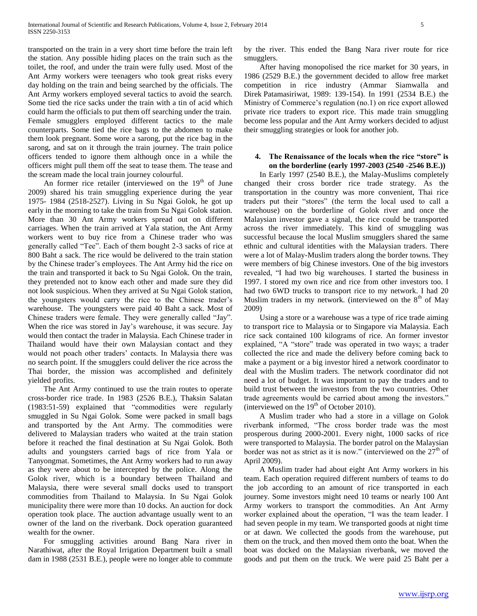transported on the train in a very short time before the train left the station. Any possible hiding places on the train such as the toilet, the roof, and under the train were fully used. Most of the Ant Army workers were teenagers who took great risks every day holding on the train and being searched by the officials. The Ant Army workers employed several tactics to avoid the search. Some tied the rice sacks under the train with a tin of acid which could harm the officials to put them off searching under the train. Female smugglers employed different tactics to the male counterparts. Some tied the rice bags to the abdomen to make them look pregnant. Some wore a sarong, put the rice bag in the sarong, and sat on it through the train journey. The train police officers tended to ignore them although once in a while the officers might pull them off the seat to tease them. The tease and the scream made the local train journey colourful.

An former rice retailer (interviewed on the  $19<sup>th</sup>$  of June 2009) shared his train smuggling experience during the year 1975- 1984 (2518-2527). Living in Su Ngai Golok, he got up early in the morning to take the train from Su Ngai Golok station. More than 30 Ant Army workers spread out on different carriages. When the train arrived at Yala station, the Ant Army workers went to buy rice from a Chinese trader who was generally called "Tee". Each of them bought 2-3 sacks of rice at 800 Baht a sack. The rice would be delivered to the train station by the Chinese trader's employees. The Ant Army hid the rice on the train and transported it back to Su Ngai Golok. On the train, they pretended not to know each other and made sure they did not look suspicious. When they arrived at Su Ngai Golok station, the youngsters would carry the rice to the Chinese trader's warehouse. The youngsters were paid 40 Baht a sack. Most of Chinese traders were female. They were generally called "Jay". When the rice was stored in Jay's warehouse, it was secure. Jay would then contact the trader in Malaysia. Each Chinese trader in Thailand would have their own Malaysian contact and they would not poach other traders' contacts. In Malaysia there was no search point. If the smugglers could deliver the rice across the Thai border, the mission was accomplished and definitely yielded profits.

 The Ant Army continued to use the train routes to operate cross-border rice trade. In 1983 (2526 B.E.), Thaksin Salatan (1983:51-59) explained that "commodities were regularly smuggled in Su Ngai Golok. Some were packed in small bags and transported by the Ant Army. The commodities were delivered to Malaysian traders who waited at the train station before it reached the final destination at Su Ngai Golok. Both adults and youngsters carried bags of rice from Yala or Tanyongmat. Sometimes, the Ant Army workers had to run away as they were about to be intercepted by the police. Along the Golok river, which is a boundary between Thailand and Malaysia, there were several small docks used to transport commodities from Thailand to Malaysia. In Su Ngai Golok municipality there were more than 10 docks. An auction for dock operation took place. The auction advantage usually went to an owner of the land on the riverbank. Dock operation guaranteed wealth for the owner.

 For smuggling activities around Bang Nara river in Narathiwat, after the Royal Irrigation Department built a small dam in 1988 (2531 B.E.), people were no longer able to commute by the river. This ended the Bang Nara river route for rice smugglers.

 After having monopolised the rice market for 30 years, in 1986 (2529 B.E.) the government decided to allow free market competition in rice industry (Ammar Siamwalla and Direk Patamasiriwat, 1989: 139-154). In 1991 (2534 B.E.) the Ministry of Commerce's regulation (no.1) on rice export allowed private rice traders to export rice. This made train smuggling become less popular and the Ant Army workers decided to adjust their smuggling strategies or look for another job.

# **4. The Renaissance of the locals when the rice "store" is on the borderline (early 1997-2003 (2540 -2546 B.E.))**

 In Early 1997 (2540 B.E.), the Malay-Muslims completely changed their cross border rice trade strategy. As the transportation in the country was more convenient, Thai rice traders put their "stores" (the term the local used to call a warehouse) on the borderline of Golok river and once the Malaysian investor gave a signal, the rice could be transported across the river immediately. This kind of smuggling was successful because the local Muslim smugglers shared the same ethnic and cultural identities with the Malaysian traders. There were a lot of Malay-Muslim traders along the border towns. They were members of big Chinese investors. One of the big investors revealed, "I had two big warehouses. I started the business in 1997. I stored my own rice and rice from other investors too. I had two 6WD trucks to transport rice to my network. I had 20 Muslim traders in my network. (interviewed on the  $8<sup>th</sup>$  of May 2009)

 Using a store or a warehouse was a type of rice trade aiming to transport rice to Malaysia or to Singapore via Malaysia. Each rice sack contained 100 kilograms of rice. An former investor explained, "A "store" trade was operated in two ways; a trader collected the rice and made the delivery before coming back to make a payment or a big investor hired a network coordinator to deal with the Muslim traders. The network coordinator did not need a lot of budget. It was important to pay the traders and to build trust between the investors from the two countries. Other trade agreements would be carried about among the investors." (interviewed on the  $19<sup>th</sup>$  of October 2010).

 A Muslim trader who had a store in a village on Golok riverbank informed, "The cross border trade was the most prosperous during 2000-2001. Every night, 1000 sacks of rice were transported to Malaysia. The border patrol on the Malaysian border was not as strict as it is now." (interviewed on the  $27<sup>th</sup>$  of April 2009).

 A Muslim trader had about eight Ant Army workers in his team. Each operation required different numbers of teams to do the job according to an amount of rice transported in each journey. Some investors might need 10 teams or nearly 100 Ant Army workers to transport the commodities. An Ant Army worker explained about the operation, "I was the team leader. I had seven people in my team. We transported goods at night time or at dawn. We collected the goods from the warehouse, put them on the truck, and then moved them onto the boat. When the boat was docked on the Malaysian riverbank, we moved the goods and put them on the truck. We were paid 25 Baht per a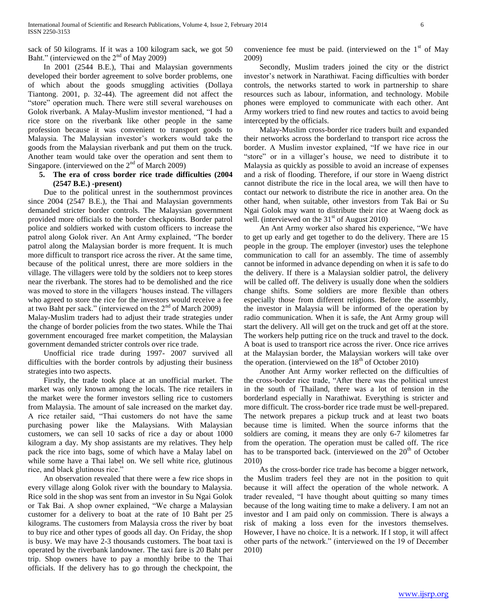sack of 50 kilograms. If it was a 100 kilogram sack, we got 50 Baht." (interviewed on the  $2<sup>nd</sup>$  of May 2009)

 In 2001 (2544 B.E.), Thai and Malaysian governments developed their border agreement to solve border problems, one of which about the goods smuggling activities (Dollaya Tiantong. 2001, p. 32-44). The agreement did not affect the "store" operation much. There were still several warehouses on Golok riverbank. A Malay-Muslim investor mentioned, "I had a rice store on the riverbank like other people in the same profession because it was convenient to transport goods to Malaysia. The Malaysian investor's workers would take the goods from the Malaysian riverbank and put them on the truck. Another team would take over the operation and sent them to Singapore. (interviewed on the  $2<sup>nd</sup>$  of March 2009)

# **5. The era of cross border rice trade difficulties (2004 (2547 B.E.) -present)**

 Due to the political unrest in the southernmost provinces since 2004 (2547 B.E.), the Thai and Malaysian governments demanded stricter border controls. The Malaysian government provided more officials to the border checkpoints. Border patrol police and soldiers worked with custom officers to increase the patrol along Golok river. An Ant Army explained, "The border patrol along the Malaysian border is more frequent. It is much more difficult to transport rice across the river. At the same time, because of the political unrest, there are more soldiers in the village. The villagers were told by the soldiers not to keep stores near the riverbank. The stores had to be demolished and the rice was moved to store in the villagers 'houses instead. The villagers who agreed to store the rice for the investors would receive a fee at two Baht per sack." (interviewed on the  $2<sup>nd</sup>$  of March 2009) Malay-Muslim traders had to adjust their trade strategies under

the change of border policies from the two states. While the Thai government encouraged free market competition, the Malaysian government demanded stricter controls over rice trade.

 Unofficial rice trade during 1997- 2007 survived all difficulties with the border controls by adjusting their business strategies into two aspects.

 Firstly, the trade took place at an unofficial market. The market was only known among the locals. The rice retailers in the market were the former investors selling rice to customers from Malaysia. The amount of sale increased on the market day. A rice retailer said, "Thai customers do not have the same purchasing power like the Malaysians. With Malaysian customers, we can sell 10 sacks of rice a day or about 1000 kilogram a day. My shop assistants are my relatives. They help pack the rice into bags, some of which have a Malay label on while some have a Thai label on. We sell white rice, glutinous rice, and black glutinous rice."

 An observation revealed that there were a few rice shops in every village along Golok river with the boundary to Malaysia. Rice sold in the shop was sent from an investor in Su Ngai Golok or Tak Bai. A shop owner explained, "We charge a Malaysian customer for a delivery to boat at the rate of 10 Baht per 25 kilograms. The customers from Malaysia cross the river by boat to buy rice and other types of goods all day. On Friday, the shop is busy. We may have 2-3 thousands customers. The boat taxi is operated by the riverbank landowner. The taxi fare is 20 Baht per trip. Shop owners have to pay a monthly bribe to the Thai officials. If the delivery has to go through the checkpoint, the

convenience fee must be paid. (interviewed on the  $1<sup>st</sup>$  of May 2009)

 Secondly, Muslim traders joined the city or the district investor's network in Narathiwat. Facing difficulties with border controls, the networks started to work in partnership to share resources such as labour, information, and technology. Mobile phones were employed to communicate with each other. Ant Army workers tried to find new routes and tactics to avoid being intercepted by the officials.

 Malay-Muslim cross-border rice traders built and expanded their networks across the borderland to transport rice across the border. A Muslim investor explained, "If we have rice in our "store" or in a villager's house, we need to distribute it to Malaysia as quickly as possible to avoid an increase of expenses and a risk of flooding. Therefore, if our store in Waeng district cannot distribute the rice in the local area, we will then have to contact our network to distribute the rice in another area. On the other hand, when suitable, other investors from Tak Bai or Su Ngai Golok may want to distribute their rice at Waeng dock as well. (interviewed on the  $31<sup>st</sup>$  of August 2010)

 An Ant Army worker also shared his experience, "We have to get up early and get together to do the delivery. There are 15 people in the group. The employer (investor) uses the telephone communication to call for an assembly. The time of assembly cannot be informed in advance depending on when it is safe to do the delivery. If there is a Malaysian soldier patrol, the delivery will be called off. The delivery is usually done when the soldiers change shifts. Some soldiers are more flexible than others especially those from different religions. Before the assembly, the investor in Malaysia will be informed of the operation by radio communication. When it is safe, the Ant Army group will start the delivery. All will get on the truck and get off at the store. The workers help putting rice on the truck and travel to the dock. A boat is used to transport rice across the river. Once rice arrives at the Malaysian border, the Malaysian workers will take over the operation. (interviewed on the  $18<sup>th</sup>$  of October 2010)

 Another Ant Army worker reflected on the difficulties of the cross-border rice trade, "After there was the political unrest in the south of Thailand, there was a lot of tension in the borderland especially in Narathiwat. Everything is stricter and more difficult. The cross-border rice trade must be well-prepared. The network prepares a pickup truck and at least two boats because time is limited. When the source informs that the soldiers are coming, it means they are only 6-7 kilometres far from the operation. The operation must be called off. The rice has to be transported back. (interviewed on the  $20<sup>th</sup>$  of October 2010)

 As the cross-border rice trade has become a bigger network, the Muslim traders feel they are not in the position to quit because it will affect the operation of the whole network. A trader revealed, "I have thought about quitting so many times because of the long waiting time to make a delivery. I am not an investor and I am paid only on commission. There is always a risk of making a loss even for the investors themselves. However, I have no choice. It is a network. If I stop, it will affect other parts of the network." (interviewed on the 19 of December 2010)